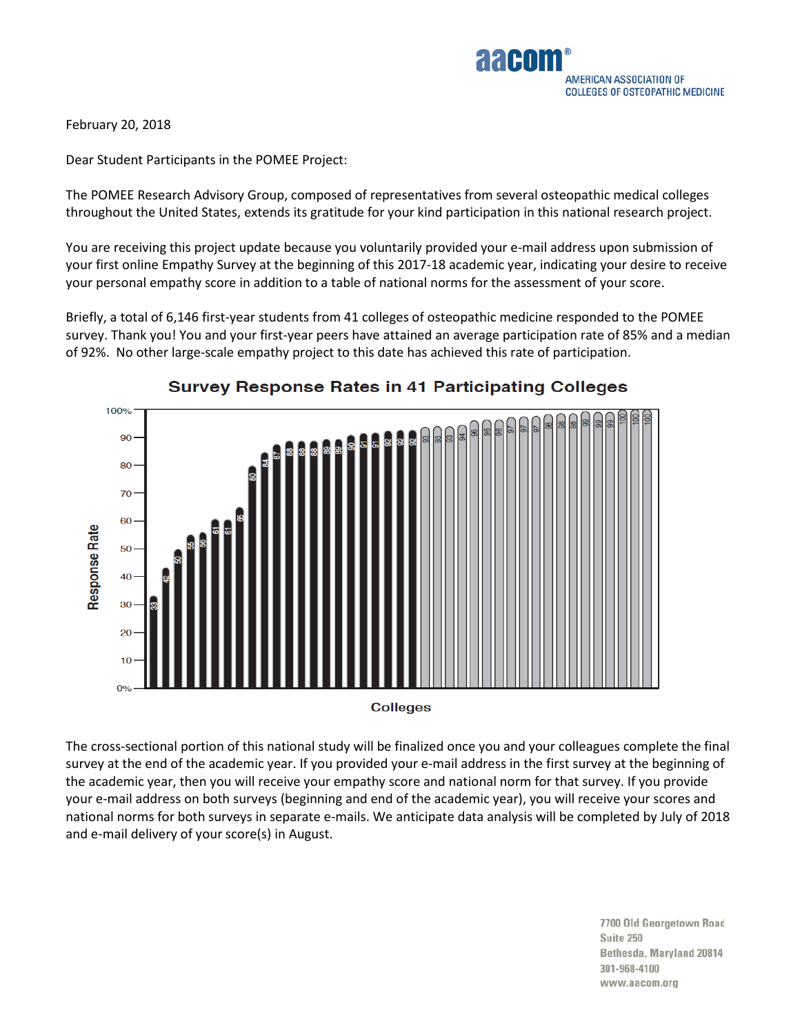

February 20, 2018

Dear Student Participants in the POMEE Project:

The POMEE Research Advisory Group, composed of representatives from several osteopathic medical colleges throughout the United States, extends its gratitude for your kind participation in this national research project.

You are receiving this project update because you voluntarily provided your e-mail address upon submission of your first online Empathy Survey at the beginning of this 2017-18 academic year, indicating your desire to receive your personal empathy score in addition to a table of national norms for the assessment of your score.

Briefly, a total of 6,146 first-year students from 41 colleges of osteopathic medicine responded to the POMEE survey. Thank you! You and your first-year peers have attained an average participation rate of 85% and a median of 92%. No other large-scale empathy project to this date has achieved this rate of participation.



## **Survey Response Rates in 41 Participating Colleges**

**Colleges** 

The cross-sectional portion of this national study will be finalized once you and your colleagues complete the final survey at the end of the academic year. If you provided your e-mail address in the first survey at the beginning of the academic year, then you will receive your empathy score and national norm for that survey. If you provide your e-mail address on both surveys (beginning and end of the academic year), you will receive your scores and national norms for both surveys in separate e-mails. We anticipate data analysis will be completed by July of 2018 and e-mail delivery of your score(s) in August.

> 7700 Old Georgetown Road Suite 250 Bethesda, Maryland 20814 301-968-4100 www.aacom.org